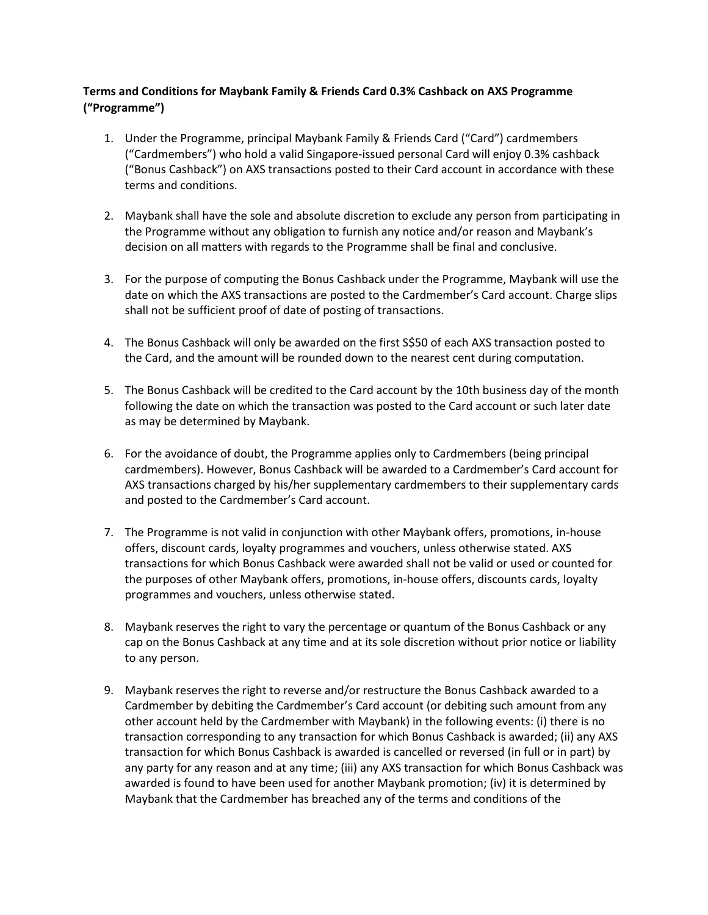## **Terms and Conditions for Maybank Family & Friends Card 0.3% Cashback on AXS Programme ("Programme")**

- 1. Under the Programme, principal Maybank Family & Friends Card ("Card") cardmembers ("Cardmembers") who hold a valid Singapore-issued personal Card will enjoy 0.3% cashback ("Bonus Cashback") on AXS transactions posted to their Card account in accordance with these terms and conditions.
- 2. Maybank shall have the sole and absolute discretion to exclude any person from participating in the Programme without any obligation to furnish any notice and/or reason and Maybank's decision on all matters with regards to the Programme shall be final and conclusive.
- 3. For the purpose of computing the Bonus Cashback under the Programme, Maybank will use the date on which the AXS transactions are posted to the Cardmember's Card account. Charge slips shall not be sufficient proof of date of posting of transactions.
- 4. The Bonus Cashback will only be awarded on the first S\$50 of each AXS transaction posted to the Card, and the amount will be rounded down to the nearest cent during computation.
- 5. The Bonus Cashback will be credited to the Card account by the 10th business day of the month following the date on which the transaction was posted to the Card account or such later date as may be determined by Maybank.
- 6. For the avoidance of doubt, the Programme applies only to Cardmembers (being principal cardmembers). However, Bonus Cashback will be awarded to a Cardmember's Card account for AXS transactions charged by his/her supplementary cardmembers to their supplementary cards and posted to the Cardmember's Card account.
- 7. The Programme is not valid in conjunction with other Maybank offers, promotions, in-house offers, discount cards, loyalty programmes and vouchers, unless otherwise stated. AXS transactions for which Bonus Cashback were awarded shall not be valid or used or counted for the purposes of other Maybank offers, promotions, in-house offers, discounts cards, loyalty programmes and vouchers, unless otherwise stated.
- 8. Maybank reserves the right to vary the percentage or quantum of the Bonus Cashback or any cap on the Bonus Cashback at any time and at its sole discretion without prior notice or liability to any person.
- 9. Maybank reserves the right to reverse and/or restructure the Bonus Cashback awarded to a Cardmember by debiting the Cardmember's Card account (or debiting such amount from any other account held by the Cardmember with Maybank) in the following events: (i) there is no transaction corresponding to any transaction for which Bonus Cashback is awarded; (ii) any AXS transaction for which Bonus Cashback is awarded is cancelled or reversed (in full or in part) by any party for any reason and at any time; (iii) any AXS transaction for which Bonus Cashback was awarded is found to have been used for another Maybank promotion; (iv) it is determined by Maybank that the Cardmember has breached any of the terms and conditions of the